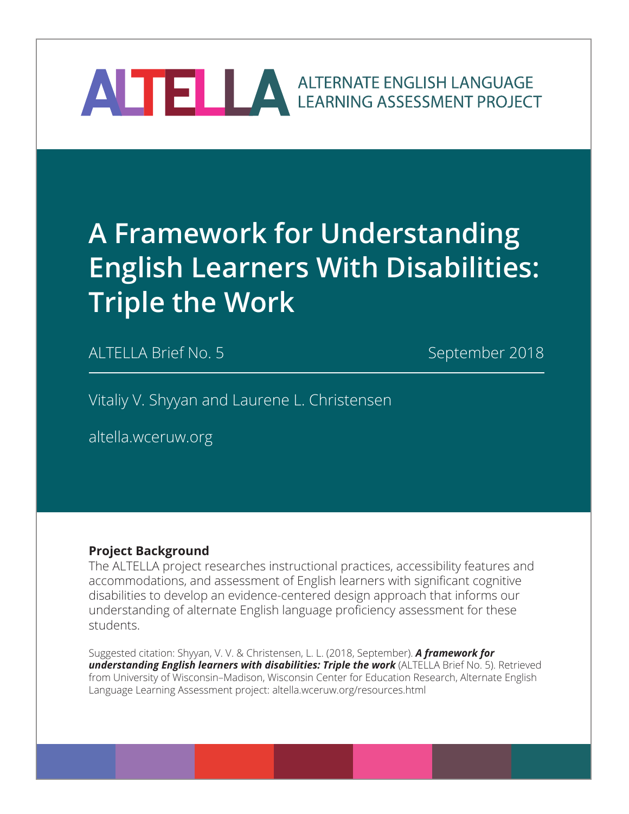# ANTE A ALTERNATE ENGLISH LANGUAGE

## **A Framework for Understanding English Learners With Disabilities: Triple the Work**

ALTELLA Brief No. 5 September 2018

Vitaliy V. Shyyan and Laurene L. Christensen

altella.wceruw.org

#### **Project Background**

The ALTELLA project researches instructional practices, accessibility features and accommodations, and assessment of English learners with significant cognitive disabilities to develop an evidence-centered design approach that informs our understanding of alternate English language proficiency assessment for these students.

Suggested citation: Shyyan, V. V. & Christensen, L. L. (2018, September). *A framework for understanding English learners with disabilities: Triple the work* (ALTELLA Brief No. 5). Retrieved from University of Wisconsin–Madison, Wisconsin Center for Education Research, Alternate English Language Learning Assessment project: altella.wceruw.org/resources.html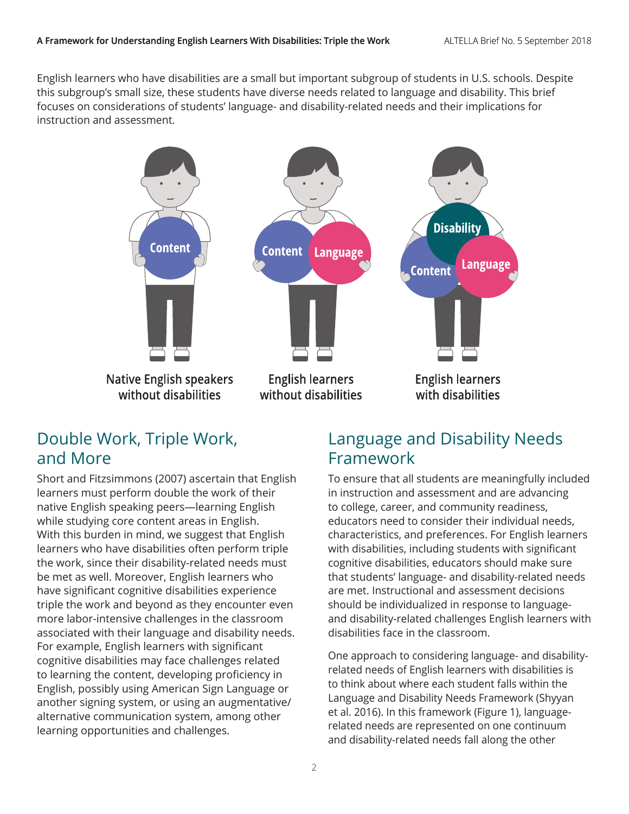English learners who have disabilities are a small but important subgroup of students in U.S. schools. Despite this subgroup's small size, these students have diverse needs related to language and disability. This brief focuses on considerations of students' language- and disability-related needs and their implications for instruction and assessment.



#### Double Work, Triple Work, and More

Short and Fitzsimmons (2007) ascertain that English learners must perform double the work of their native English speaking peers—learning English while studying core content areas in English. With this burden in mind, we suggest that English learners who have disabilities often perform triple the work, since their disability-related needs must be met as well. Moreover, English learners who have significant cognitive disabilities experience triple the work and beyond as they encounter even more labor-intensive challenges in the classroom associated with their language and disability needs. For example, English learners with significant cognitive disabilities may face challenges related to learning the content, developing proficiency in English, possibly using American Sign Language or another signing system, or using an augmentative/ alternative communication system, among other learning opportunities and challenges.

#### Language and Disability Needs Framework

To ensure that all students are meaningfully included in instruction and assessment and are advancing to college, career, and community readiness, educators need to consider their individual needs, characteristics, and preferences. For English learners with disabilities, including students with significant cognitive disabilities, educators should make sure that students' language- and disability-related needs are met. Instructional and assessment decisions should be individualized in response to languageand disability-related challenges English learners with disabilities face in the classroom.

One approach to considering language- and disabilityrelated needs of English learners with disabilities is to think about where each student falls within the Language and Disability Needs Framework (Shyyan et al. 2016). In this framework (Figure 1), languagerelated needs are represented on one continuum and disability-related needs fall along the other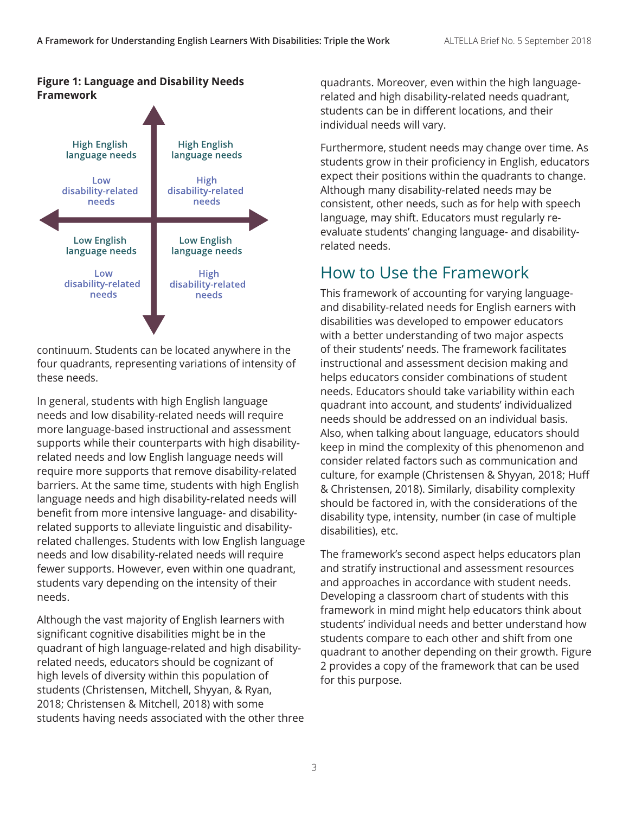



continuum. Students can be located anywhere in the four quadrants, representing variations of intensity of these needs.

In general, students with high English language needs and low disability-related needs will require more language-based instructional and assessment supports while their counterparts with high disabilityrelated needs and low English language needs will require more supports that remove disability-related barriers. At the same time, students with high English language needs and high disability-related needs will benefit from more intensive language- and disabilityrelated supports to alleviate linguistic and disabilityrelated challenges. Students with low English language needs and low disability-related needs will require fewer supports. However, even within one quadrant, students vary depending on the intensity of their needs.

Although the vast majority of English learners with significant cognitive disabilities might be in the quadrant of high language-related and high disabilityrelated needs, educators should be cognizant of high levels of diversity within this population of students (Christensen, Mitchell, Shyyan, & Ryan, 2018; Christensen & Mitchell, 2018) with some students having needs associated with the other three quadrants. Moreover, even within the high languagerelated and high disability-related needs quadrant, students can be in different locations, and their individual needs will vary.

Furthermore, student needs may change over time. As students grow in their proficiency in English, educators expect their positions within the quadrants to change. Although many disability-related needs may be consistent, other needs, such as for help with speech language, may shift. Educators must regularly reevaluate students' changing language- and disabilityrelated needs.

#### How to Use the Framework

This framework of accounting for varying languageand disability-related needs for English earners with disabilities was developed to empower educators with a better understanding of two major aspects of their students' needs. The framework facilitates instructional and assessment decision making and helps educators consider combinations of student needs. Educators should take variability within each quadrant into account, and students' individualized needs should be addressed on an individual basis. Also, when talking about language, educators should keep in mind the complexity of this phenomenon and consider related factors such as communication and culture, for example (Christensen & Shyyan, 2018; Huff & Christensen, 2018). Similarly, disability complexity should be factored in, with the considerations of the disability type, intensity, number (in case of multiple disabilities), etc.

The framework's second aspect helps educators plan and stratify instructional and assessment resources and approaches in accordance with student needs. Developing a classroom chart of students with this framework in mind might help educators think about students' individual needs and better understand how students compare to each other and shift from one quadrant to another depending on their growth. Figure 2 provides a copy of the framework that can be used for this purpose.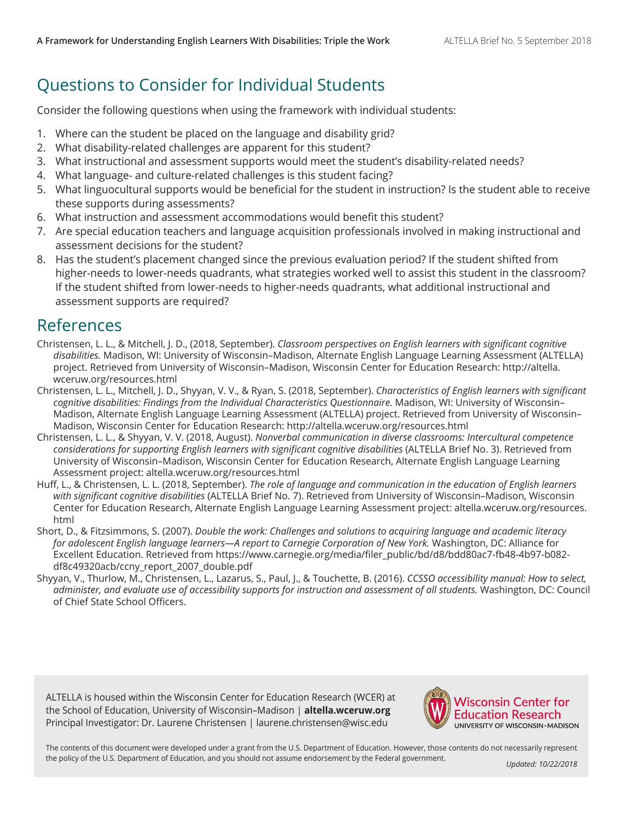### Questions to Consider for Individual Students

Consider the following questions when using the framework with individual students:

- 1. Where can the student be placed on the language and disability grid?
- 2. What disability-related challenges are apparent for this student?
- 3. What instructional and assessment supports would meet the student's disability-related needs?
- 4. What language- and culture-related challenges is this student facing?
- 5. What linguocultural supports would be beneficial for the student in instruction? Is the student able to receive these supports during assessments?
- 6. What instruction and assessment accommodations would benefit this student?
- 7. Are special education teachers and language acquisition professionals involved in making instructional and assessment decisions for the student?
- 8. Has the student's placement changed since the previous evaluation period? If the student shifted from higher-needs to lower-needs quadrants, what strategies worked well to assist this student in the classroom? If the student shifted from lower-needs to higher-needs quadrants, what additional instructional and assessment supports are required?

#### References

- Christensen, L. L., & Mitchell, J. D., (2018, September). *Classroom perspectives on English learners with significant cognitive disabilities.* Madison, WI: University of Wisconsin–Madison, Alternate English Language Learning Assessment (ALTELLA) project. Retrieved from University of Wisconsin–Madison, Wisconsin Center for Education Research: http://altella. wceruw.org/resources.html
- Christensen, L. L., Mitchell, J. D., Shyyan, V. V., & Ryan, S. (2018, September). *Characteristics of English learners with significant cognitive disabilities: Findings from the Individual Characteristics Questionnaire.* Madison, WI: University of Wisconsin– Madison, Alternate English Language Learning Assessment (ALTELLA) project. Retrieved from University of Wisconsin– Madison, Wisconsin Center for Education Research: http://altella.wceruw.org/resources.html
- Christensen, L. L., & Shyyan, V. V. (2018, August). *Nonverbal communication in diverse classrooms: Intercultural competence considerations for supporting English learners with significant cognitive disabilities* (ALTELLA Brief No. 3). Retrieved from University of Wisconsin–Madison, Wisconsin Center for Education Research, Alternate English Language Learning Assessment project: altella.wceruw.org/resources.html
- Huff, L., & Christensen, L. L. (2018, September). *The role of language and communication in the education of English learners with significant cognitive disabilities* (ALTELLA Brief No. 7). Retrieved from University of Wisconsin–Madison, Wisconsin Center for Education Research, Alternate English Language Learning Assessment project: altella.wceruw.org/resources. html
- Short, D., & Fitzsimmons, S. (2007). *Double the work: Challenges and solutions to acquiring language and academic literacy*  for adolescent English language learners—A report to Carnegie Corporation of New York. Washington, DC: Alliance for Excellent Education. Retrieved from https://www.carnegie.org/media/filer\_public/bd/d8/bdd80ac7-fb48-4b97-b082 df8c49320acb/ccny\_report\_2007\_double.pdf
- Shyyan, V., Thurlow, M., Christensen, L., Lazarus, S., Paul, J., & Touchette, B. (2016). *CCSSO accessibility manual: How to select, administer, and evaluate use of accessibility supports for instruction and assessment of all students.* Washington, DC: Council of Chief State School Officers.

ALTELLA is housed within the Wisconsin Center for Education Research (WCER) at the School of Education, University of Wisconsin–Madison | **altella.wceruw.org** Principal Investigator: Dr. Laurene Christensen | laurene.christensen@wisc.edu



The contents of this document were developed under a grant from the U.S. Department of Education. However, those contents do not necessarily represent the policy of the U.S. Department of Education, and you should not assume endorsement by the Federal government. *Updated: 10/22/2018*